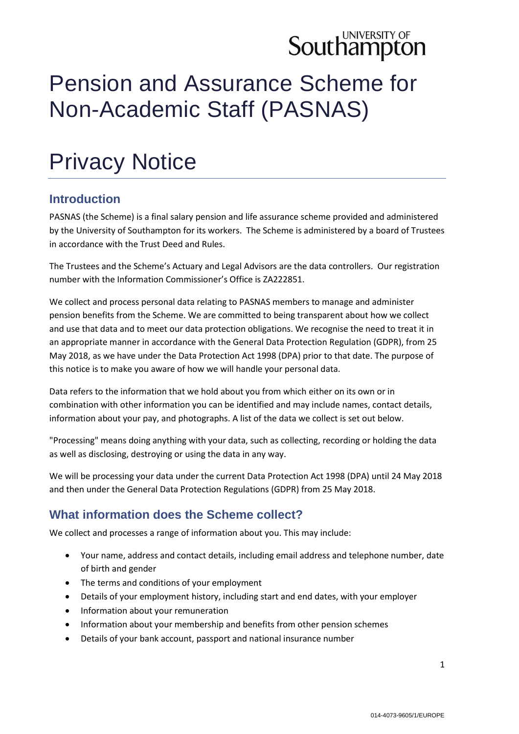# **Southampton**

# Pension and Assurance Scheme for Non-Academic Staff (PASNAS)

# Privacy Notice

#### **Introduction**

PASNAS (the Scheme) is a final salary pension and life assurance scheme provided and administered by the University of Southampton for its workers. The Scheme is administered by a board of Trustees in accordance with the Trust Deed and Rules.

The Trustees and the Scheme's Actuary and Legal Advisors are the data controllers. Our registration number with the Information Commissioner's Office is ZA222851.

We collect and process personal data relating to PASNAS members to manage and administer pension benefits from the Scheme. We are committed to being transparent about how we collect and use that data and to meet our data protection obligations. We recognise the need to treat it in an appropriate manner in accordance with the General Data Protection Regulation (GDPR), from 25 May 2018, as we have under the Data Protection Act 1998 (DPA) prior to that date. The purpose of this notice is to make you aware of how we will handle your personal data.

Data refers to the information that we hold about you from which either on its own or in combination with other information you can be identified and may include names, contact details, information about your pay, and photographs. A list of the data we collect is set out below.

"Processing" means doing anything with your data, such as collecting, recording or holding the data as well as disclosing, destroying or using the data in any way.

We will be processing your data under the current Data Protection Act 1998 (DPA) until 24 May 2018 and then under the General Data Protection Regulations (GDPR) from 25 May 2018.

### **What information does the Scheme collect?**

We collect and processes a range of information about you. This may include:

- Your name, address and contact details, including email address and telephone number, date of birth and gender
- The terms and conditions of your employment
- Details of your employment history, including start and end dates, with your employer
- Information about your remuneration
- Information about your membership and benefits from other pension schemes
- Details of your bank account, passport and national insurance number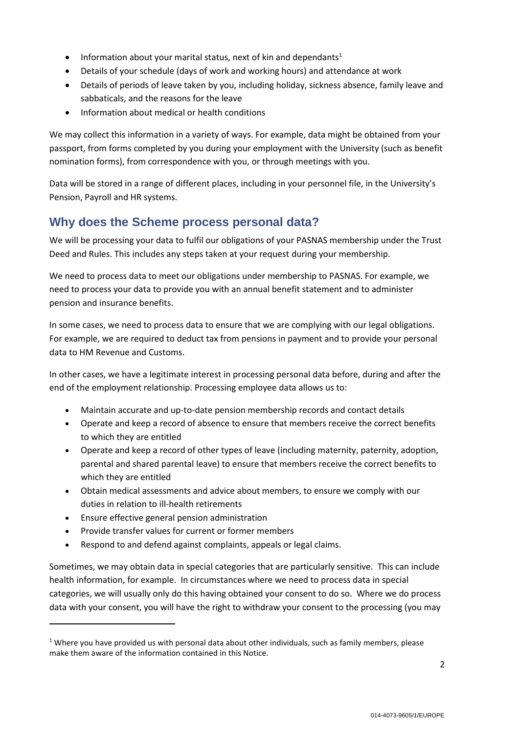- Information about your marital status, next of kin and dependants<sup>1</sup>
- Details of your schedule (days of work and working hours) and attendance at work
- Details of periods of leave taken by you, including holiday, sickness absence, family leave and sabbaticals, and the reasons for the leave
- Information about medical or health conditions

We may collect this information in a variety of ways. For example, data might be obtained from your passport, from forms completed by you during your employment with the University (such as benefit nomination forms), from correspondence with you, or through meetings with you.

Data will be stored in a range of different places, including in your personnel file, in the University's Pension, Payroll and HR systems.

#### **Why does the Scheme process personal data?**

We will be processing your data to fulfil our obligations of your PASNAS membership under the Trust Deed and Rules. This includes any steps taken at your request during your membership.

We need to process data to meet our obligations under membership to PASNAS. For example, we need to process your data to provide you with an annual benefit statement and to administer pension and insurance benefits.

In some cases, we need to process data to ensure that we are complying with our legal obligations. For example, we are required to deduct tax from pensions in payment and to provide your personal data to HM Revenue and Customs.

In other cases, we have a legitimate interest in processing personal data before, during and after the end of the employment relationship. Processing employee data allows us to:

- Maintain accurate and up-to-date pension membership records and contact details
- Operate and keep a record of absence to ensure that members receive the correct benefits to which they are entitled
- Operate and keep a record of other types of leave (including maternity, paternity, adoption, parental and shared parental leave) to ensure that members receive the correct benefits to which they are entitled
- Obtain medical assessments and advice about members, to ensure we comply with our duties in relation to ill-health retirements
- Ensure effective general pension administration

1

- Provide transfer values for current or former members
- Respond to and defend against complaints, appeals or legal claims.

Sometimes, we may obtain data in special categories that are particularly sensitive. This can include health information, for example. In circumstances where we need to process data in special categories, we will usually only do this having obtained your consent to do so. Where we do process data with your consent, you will have the right to withdraw your consent to the processing (you may

<sup>&</sup>lt;sup>1</sup> Where you have provided us with personal data about other individuals, such as family members, please make them aware of the information contained in this Notice.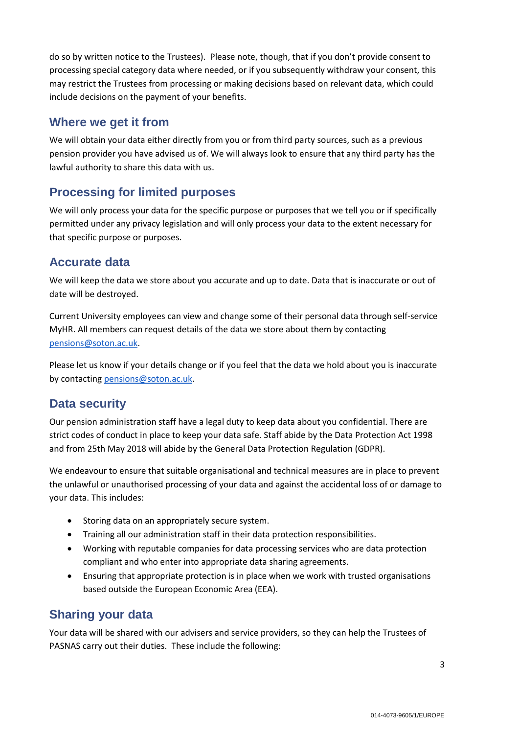do so by written notice to the Trustees). Please note, though, that if you don't provide consent to processing special category data where needed, or if you subsequently withdraw your consent, this may restrict the Trustees from processing or making decisions based on relevant data, which could include decisions on the payment of your benefits.

#### **Where we get it from**

We will obtain your data either directly from you or from third party sources, such as a previous pension provider you have advised us of. We will always look to ensure that any third party has the lawful authority to share this data with us.

#### **Processing for limited purposes**

We will only process your data for the specific purpose or purposes that we tell you or if specifically permitted under any privacy legislation and will only process your data to the extent necessary for that specific purpose or purposes.

#### **Accurate data**

We will keep the data we store about you accurate and up to date. Data that is inaccurate or out of date will be destroyed.

Current University employees can view and change some of their personal data through self-service MyHR. All members can request details of the data we store about them by contacting [pensions@soton.ac.uk.](mailto:pensions@soton.ac.uk)

Please let us know if your details change or if you feel that the data we hold about you is inaccurate by contactin[g pensions@soton.ac.uk.](mailto:pensions@soton.ac.uk)

#### **Data security**

Our pension administration staff have a legal duty to keep data about you confidential. There are strict codes of conduct in place to keep your data safe. Staff abide by the Data Protection Act 1998 and from 25th May 2018 will abide by the General Data Protection Regulation (GDPR).

We endeavour to ensure that suitable organisational and technical measures are in place to prevent the unlawful or unauthorised processing of your data and against the accidental loss of or damage to your data. This includes:

- **•** Storing data on an appropriately secure system.
- Training all our administration staff in their data protection responsibilities.
- Working with reputable companies for data processing services who are data protection compliant and who enter into appropriate data sharing agreements.
- Ensuring that appropriate protection is in place when we work with trusted organisations based outside the European Economic Area (EEA).

### **Sharing your data**

Your data will be shared with our advisers and service providers, so they can help the Trustees of PASNAS carry out their duties. These include the following: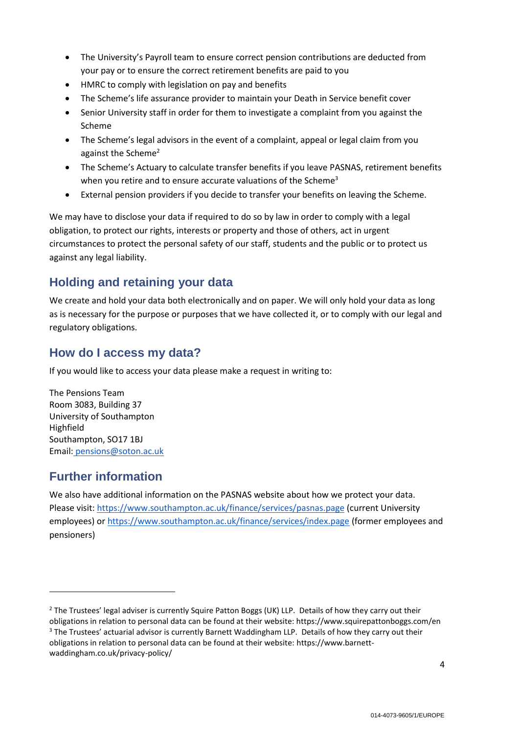- The University's Payroll team to ensure correct pension contributions are deducted from your pay or to ensure the correct retirement benefits are paid to you
- HMRC to comply with legislation on pay and benefits
- The Scheme's life assurance provider to maintain your Death in Service benefit cover
- Senior University staff in order for them to investigate a complaint from you against the Scheme
- The Scheme's legal advisors in the event of a complaint, appeal or legal claim from you against the Scheme<sup>2</sup>
- The Scheme's Actuary to calculate transfer benefits if you leave PASNAS, retirement benefits when you retire and to ensure accurate valuations of the Scheme<sup>3</sup>
- External pension providers if you decide to transfer your benefits on leaving the Scheme.

We may have to disclose your data if required to do so by law in order to comply with a legal obligation, to protect our rights, interests or property and those of others, act in urgent circumstances to protect the personal safety of our staff, students and the public or to protect us against any legal liability.

#### **Holding and retaining your data**

We create and hold your data both electronically and on paper. We will only hold your data as long as is necessary for the purpose or purposes that we have collected it, or to comply with our legal and regulatory obligations.

#### **How do I access my data?**

If you would like to access your data please make a request in writing to:

The Pensions Team Room 3083, Building 37 University of Southampton Highfield Southampton, SO17 1BJ Email: [pensions@soton.ac.uk](mailto:pensions@soton.ac.uk)

#### **Further information**

-

We also have additional information on the PASNAS website about how we protect your data. Please visit:<https://www.southampton.ac.uk/finance/services/pasnas.page> (current University employees) or<https://www.southampton.ac.uk/finance/services/index.page> (former employees and pensioners)

<sup>&</sup>lt;sup>2</sup> The Trustees' legal adviser is currently Squire Patton Boggs (UK) LLP. Details of how they carry out their obligations in relation to personal data can be found at their website: https://www.squirepattonboggs.com/en <sup>3</sup> The Trustees' actuarial advisor is currently Barnett Waddingham LLP. Details of how they carry out their obligations in relation to personal data can be found at their website: [https://www.barnett](https://www.barnett-waddingham.co.uk/privacy-policy/)[waddingham.co.uk/privacy-policy/](https://www.barnett-waddingham.co.uk/privacy-policy/)